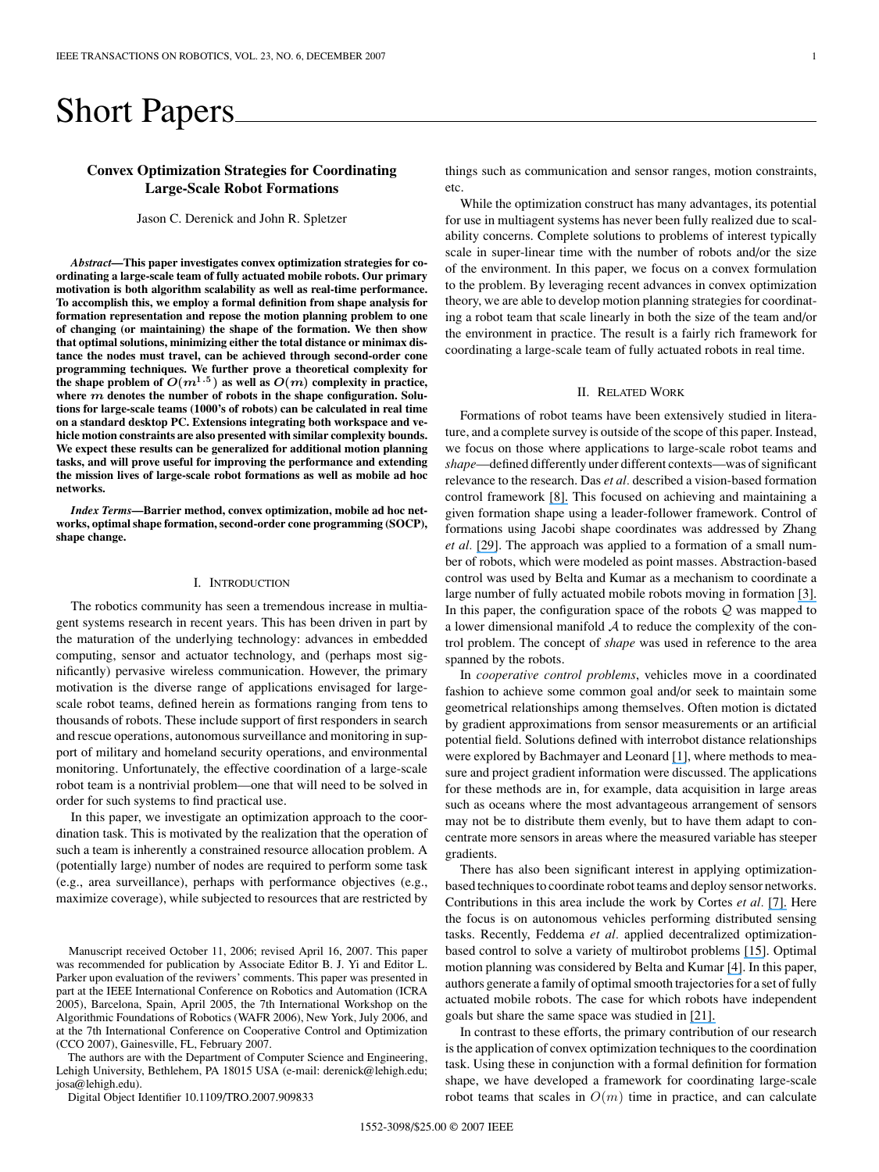# Short Papers

# **Convex Optimization Strategies for Coordinating Large-Scale Robot Formations**

Jason C. Derenick and John R. Spletzer

*Abstract***—This paper investigates convex optimization strategies for coordinating a large-scale team of fully actuated mobile robots. Our primary motivation is both algorithm scalability as well as real-time performance. To accomplish this, we employ a formal definition from shape analysis for formation representation and repose the motion planning problem to one of changing (or maintaining) the shape of the formation. We then show that optimal solutions, minimizing either the total distance or minimax distance the nodes must travel, can be achieved through second-order cone** programming techniques. We further prove a theoretical complexity for<br>the shape problem of  $O(m^{1.5})$  as well as  $O(m)$  complexity in practice, **where** *m* **denotes the number of robots in the shape configuration. Solutions for large-scale teams (1000's of robots) can be calculated in real time on a standard desktop PC. Extensions integrating both workspace and vehicle motion constraints are also presented with similar complexity bounds. We expect these results can be generalized for additional motion planning tasks, and will prove useful for improving the performance and extending the mission lives of large-scale robot formations as well as mobile ad hoc networks.**

*Index Terms***—Barrier method, convex optimization, mobile ad hoc networks, optimal shape formation, second-order cone programming (SOCP), shape change.**

## I. INTRODUCTION

The robotics community has seen a tremendous increase in multiagent systems research in recent years. This has been driven in part by the maturation of the underlying technology: advances in embedded computing, sensor and actuator technology, and (perhaps most significantly) pervasive wireless communication. However, the primary motivation is the diverse range of applications envisaged for largescale robot teams, defined herein as formations ranging from tens to thousands of robots. These include support of first responders in search and rescue operations, autonomous surveillance and monitoring in support of military and homeland security operations, and environmental monitoring. Unfortunately, the effective coordination of a large-scale robot team is a nontrivial problem—one that will need to be solved in order for such systems to find practical use.

In this paper, we investigate an optimization approach to the coordination task. This is motivated by the realization that the operation of such a team is inherently a constrained resource allocation problem. A (potentially large) number of nodes are required to perform some task (e.g., area surveillance), perhaps with performance objectives (e.g., maximize coverage), while subjected to resources that are restricted by

Manuscript received October 11, 2006; revised April 16, 2007. This paper was recommended for publication by Associate Editor B. J. Yi and Editor L. Parker upon evaluation of the reviwers' comments. This paper was presented in part at the IEEE International Conference on Robotics and Automation (ICRA 2005), Barcelona, Spain, April 2005, the 7th International Workshop on the Algorithmic Foundations of Robotics (WAFR 2006), New York, July 2006, and at the 7th International Conference on Cooperative Control and Optimization (CCO 2007), Gainesville, FL, February 2007.

The authors are with the Department of Computer Science and Engineering, Lehigh University, Bethlehem, PA 18015 USA (e-mail: derenick@lehigh.edu; josa@lehigh.edu).

Digital Object Identifier 10.1109/TRO.2007.909833

things such as communication and sensor ranges, motion constraints, etc.

While the optimization construct has many advantages, its potential for use in multiagent systems has never been fully realized due to scalability concerns. Complete solutions to problems of interest typically scale in super-linear time with the number of robots and/or the size of the environment. In this paper, we focus on a convex formulation to the problem. By leveraging recent advances in convex optimization theory, we are able to develop motion planning strategies for coordinating a robot team that scale linearly in both the size of the team and/or the environment in practice. The result is a fairly rich framework for coordinating a large-scale team of fully actuated robots in real time.

## II. RELATED WORK

Formations of robot teams have been extensively studied in literature, and a complete survey is outside of the scope of this paper. Instead, we focus on those where applications to large-scale robot teams and *shape*—defined differently under different contexts—was of significant relevance to the research. Das *et al.* described a vision-based formation control framework [\[8\].](https://www.researchgate.net/publication/220397340_A_vision-based_formation_control_framework?el=1_x_8&enrichId=rgreq-c46dbc87-750c-42bd-8b85-a3328d00305c&enrichSource=Y292ZXJQYWdlOzM0NTA1MjQ7QVM6MjE1NzU3Mzg1NDA4NTE4QDE0Mjg0NTE5Nzc5MTE=) This focused on achieving and maintaining a given formation shape using a leader-follower framework. Control of formations using Jacobi shape coordinates was addressed by Zhang *et al.* [\[29\]](https://www.researchgate.net/publication/224744401_Control_of_small_formations_using_shape_coordinates?el=1_x_8&enrichId=rgreq-c46dbc87-750c-42bd-8b85-a3328d00305c&enrichSource=Y292ZXJQYWdlOzM0NTA1MjQ7QVM6MjE1NzU3Mzg1NDA4NTE4QDE0Mjg0NTE5Nzc5MTE=). The approach was applied to a formation of a small number of robots, which were modeled as point masses. Abstraction-based control was used by Belta and Kumar as a mechanism to coordinate a large number of fully actuated mobile robots moving in formation [\[3\].](https://www.researchgate.net/publication/3450105_Abstraction_and_control_for_groups_of_robots_Trans_IEEE_Robotics?el=1_x_8&enrichId=rgreq-c46dbc87-750c-42bd-8b85-a3328d00305c&enrichSource=Y292ZXJQYWdlOzM0NTA1MjQ7QVM6MjE1NzU3Mzg1NDA4NTE4QDE0Mjg0NTE5Nzc5MTE=) In this paper, the configuration space of the robots  $Q$  was mapped to a lower dimensional manifold  $A$  to reduce the complexity of the control problem. The concept of *shape* was used in reference to the area spanned by the robots.

In *cooperative control problems*, vehicles move in a coordinated fashion to achieve some common goal and/or seek to maintain some geometrical relationships among themselves. Often motion is dictated by gradient approximations from sensor measurements or an artificial potential field. Solutions defined with interrobot distance relationships were explored by Bachmayer and Leonard [\[1\]](https://www.researchgate.net/publication/4006292_Vehicle_networks_for_gradient_descent_in_a_sampled_environment?el=1_x_8&enrichId=rgreq-c46dbc87-750c-42bd-8b85-a3328d00305c&enrichSource=Y292ZXJQYWdlOzM0NTA1MjQ7QVM6MjE1NzU3Mzg1NDA4NTE4QDE0Mjg0NTE5Nzc5MTE=), where methods to measure and project gradient information were discussed. The applications for these methods are in, for example, data acquisition in large areas such as oceans where the most advantageous arrangement of sensors may not be to distribute them evenly, but to have them adapt to concentrate more sensors in areas where the measured variable has steeper gradients.

There has also been significant interest in applying optimizationbased techniques to coordinate robot teams and deploy sensor networks. Contributions in this area include the work by Cortes *et al.* [\[7\].](https://www.researchgate.net/publication/221071828_Coverage_Control_for_Mobile_Sensing_Networks?el=1_x_8&enrichId=rgreq-c46dbc87-750c-42bd-8b85-a3328d00305c&enrichSource=Y292ZXJQYWdlOzM0NTA1MjQ7QVM6MjE1NzU3Mzg1NDA4NTE4QDE0Mjg0NTE5Nzc5MTE=) Here the focus is on autonomous vehicles performing distributed sensing tasks. Recently, Feddema *et al.* applied decentralized optimizationbased control to solve a variety of multirobot problems [\[15\]](https://www.researchgate.net/publication/242220244_An_Optimization_Approach_to_Distributed_Controls_of_Multiple_Robot_Vehicles?el=1_x_8&enrichId=rgreq-c46dbc87-750c-42bd-8b85-a3328d00305c&enrichSource=Y292ZXJQYWdlOzM0NTA1MjQ7QVM6MjE1NzU3Mzg1NDA4NTE4QDE0Mjg0NTE5Nzc5MTE=). Optimal motion planning was considered by Belta and Kumar [\[4\]](https://www.researchgate.net/publication/228769059_Optimal_Motion_Generation_for_Groups_of_Robots_A_Geometric_Approach?el=1_x_8&enrichId=rgreq-c46dbc87-750c-42bd-8b85-a3328d00305c&enrichSource=Y292ZXJQYWdlOzM0NTA1MjQ7QVM6MjE1NzU3Mzg1NDA4NTE4QDE0Mjg0NTE5Nzc5MTE=). In this paper, authors generate a family of optimal smooth trajectories for a set of fully actuated mobile robots. The case for which robots have independent goals but share the same space was studied in [\[21\].](https://www.researchgate.net/publication/3298876_Optimal_Motion_Planning_For_Multiple_Robots_Having_Independent_Goals?el=1_x_8&enrichId=rgreq-c46dbc87-750c-42bd-8b85-a3328d00305c&enrichSource=Y292ZXJQYWdlOzM0NTA1MjQ7QVM6MjE1NzU3Mzg1NDA4NTE4QDE0Mjg0NTE5Nzc5MTE=)

In contrast to these efforts, the primary contribution of our research is the application of convex optimization techniques to the coordination task. Using these in conjunction with a formal definition for formation shape, we have developed a framework for coordinating large-scale robot teams that scales in  $O(m)$  time in practice, and can calculate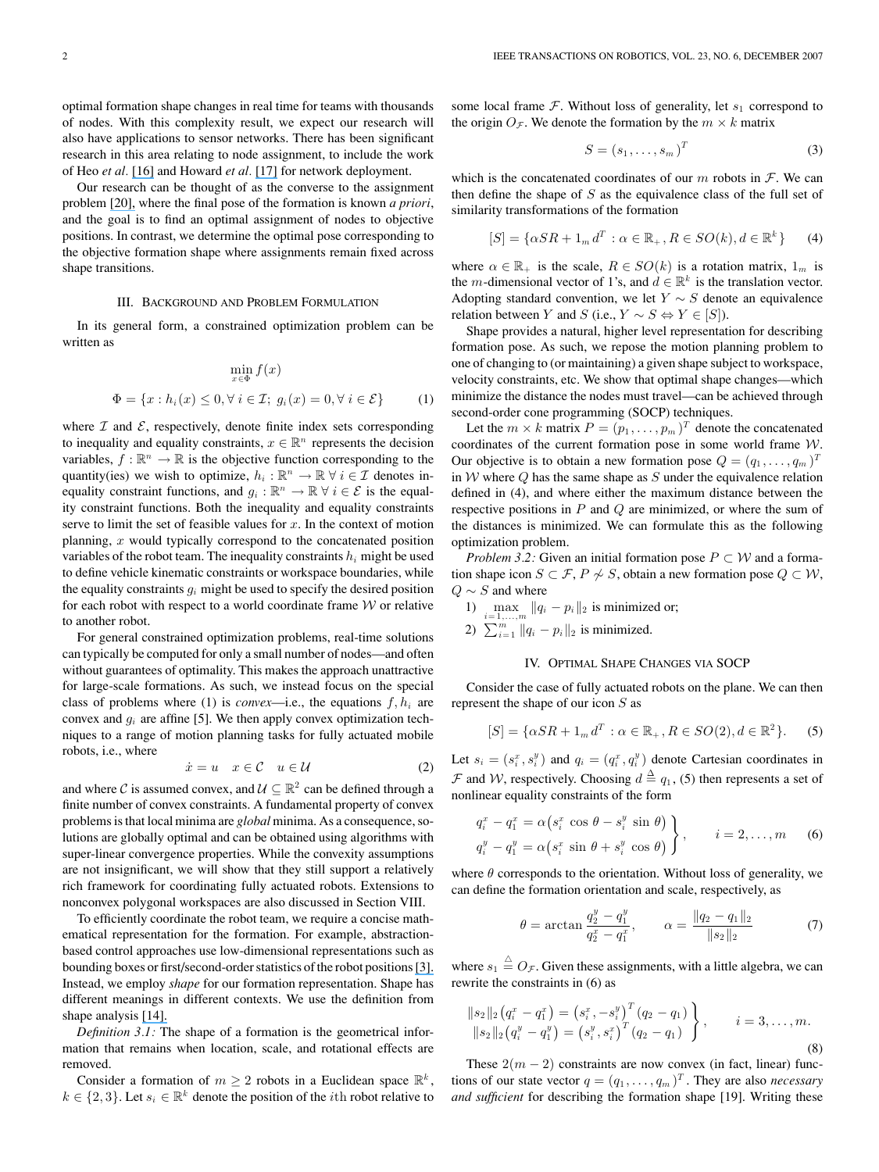optimal formation shape changes in real time for teams with thousands of nodes. With this complexity result, we expect our research will also have applications to sensor networks. There has been significant research in this area relating to node assignment, to include the work of Heo *et al.* [\[16\]](https://www.researchgate.net/publication/3412403_Energy-Efficient_Deployment_of_Intelligent_Mobile_Sensor_Networks?el=1_x_8&enrichId=rgreq-c46dbc87-750c-42bd-8b85-a3328d00305c&enrichSource=Y292ZXJQYWdlOzM0NTA1MjQ7QVM6MjE1NzU3Mzg1NDA4NTE4QDE0Mjg0NTE5Nzc5MTE=) and Howard *et al.* [\[17\]](https://www.researchgate.net/publication/225949269_An_Incremental_Self-Deployment_Algorithm_for_Mobile_Sensor_Networks?el=1_x_8&enrichId=rgreq-c46dbc87-750c-42bd-8b85-a3328d00305c&enrichSource=Y292ZXJQYWdlOzM0NTA1MjQ7QVM6MjE1NzU3Mzg1NDA4NTE4QDE0Mjg0NTE5Nzc5MTE=) for network deployment.

Our research can be thought of as the converse to the assignment problem [\[20\],](https://www.researchgate.net/publication/221996415_The_Hungarian_Method_for_The_Assignment_Problem?el=1_x_8&enrichId=rgreq-c46dbc87-750c-42bd-8b85-a3328d00305c&enrichSource=Y292ZXJQYWdlOzM0NTA1MjQ7QVM6MjE1NzU3Mzg1NDA4NTE4QDE0Mjg0NTE5Nzc5MTE=) where the final pose of the formation is known *a priori*, and the goal is to find an optimal assignment of nodes to objective positions. In contrast, we determine the optimal pose corresponding to the objective formation shape where assignments remain fixed across shape transitions.

### III. BACKGROUND AND PROBLEM FORMULATION

In its general form, a constrained optimization problem can be written as

$$
\min_{x \in \Phi} f(x)
$$
  

$$
\Phi = \{x : h_i(x) \le 0, \forall i \in \mathcal{I}; \ g_i(x) = 0, \forall i \in \mathcal{E}\}
$$
 (1)

where  $\mathcal I$  and  $\mathcal E$ , respectively, denote finite index sets corresponding to inequality and equality constraints,  $x \in \mathbb{R}^n$  represents the decision variables,  $f : \mathbb{R}^n \to \mathbb{R}$  is the objective function corresponding to the quantity(ies) we wish to optimize,  $h_i : \mathbb{R}^n \to \mathbb{R} \ \forall \ i \in \mathcal{I}$  denotes inequality constraint functions, and  $g_i : \mathbb{R}^n \to \mathbb{R} \ \forall \ i \in \mathcal{E}$  is the equality constraint functions. Both the inequality and equality constraints serve to limit the set of feasible values for  $x$ . In the context of motion planning,  $x$  would typically correspond to the concatenated position variables of the robot team. The inequality constraints  $h_i$  might be used to define vehicle kinematic constraints or workspace boundaries, while the equality constraints  $q_i$  might be used to specify the desired position for each robot with respect to a world coordinate frame  $W$  or relative to another robot.

For general constrained optimization problems, real-time solutions can typically be computed for only a small number of nodes—and often without guarantees of optimality. This makes the approach unattractive for large-scale formations. As such, we instead focus on the special class of problems where (1) is *convex*—i.e., the equations  $f, h_i$  are convex and  $g_i$  are affine [5]. We then apply convex optimization techniques to a range of motion planning tasks for fully actuated mobile robots, i.e., where

$$
\dot{x} = u \quad x \in \mathcal{C} \quad u \in \mathcal{U} \tag{2}
$$

and where C is assumed convex, and  $\mathcal{U} \subseteq \mathbb{R}^2$  can be defined through a finite number of convex constraints. A fundamental property of convex problems is that local minima are *global* minima. As a consequence, solutions are globally optimal and can be obtained using algorithms with super-linear convergence properties. While the convexity assumptions are not insignificant, we will show that they still support a relatively rich framework for coordinating fully actuated robots. Extensions to nonconvex polygonal workspaces are also discussed in Section VIII.

To efficiently coordinate the robot team, we require a concise mathematical representation for the formation. For example, abstractionbased control approaches use low-dimensional representations such as bounding boxes or first/second-order statistics of the robot positions [\[3\].](https://www.researchgate.net/publication/3450105_Abstraction_and_control_for_groups_of_robots_Trans_IEEE_Robotics?el=1_x_8&enrichId=rgreq-c46dbc87-750c-42bd-8b85-a3328d00305c&enrichSource=Y292ZXJQYWdlOzM0NTA1MjQ7QVM6MjE1NzU3Mzg1NDA4NTE4QDE0Mjg0NTE5Nzc5MTE=) Instead, we employ *shape* for our formation representation. Shape has different meanings in different contexts. We use the definition from shape analysis [\[14\].](https://www.researchgate.net/publication/247644994_Statistical_shape_analysis_in_archaeology?el=1_x_8&enrichId=rgreq-c46dbc87-750c-42bd-8b85-a3328d00305c&enrichSource=Y292ZXJQYWdlOzM0NTA1MjQ7QVM6MjE1NzU3Mzg1NDA4NTE4QDE0Mjg0NTE5Nzc5MTE=)

*Definition 3.1:* The shape of a formation is the geometrical information that remains when location, scale, and rotational effects are removed.

Consider a formation of  $m \geq 2$  robots in a Euclidean space  $\mathbb{R}^k$ ,  $k \in \{2, 3\}$ . Let  $s_i \in \mathbb{R}^k$  denote the position of the *i*th robot relative to some local frame  $\mathcal F$ . Without loss of generality, let  $s_1$  correspond to the origin  $O_{\mathcal{F}}$ . We denote the formation by the  $m \times k$  matrix

$$
S = (s_1, \dots, s_m)^T
$$
 (3)

which is the concatenated coordinates of our  $m$  robots in  $\mathcal{F}$ . We can then define the shape of  $S$  as the equivalence class of the full set of similarity transformations of the formation

$$
[S] = \{\alpha SR + 1_m d^T : \alpha \in \mathbb{R}_+, R \in SO(k), d \in \mathbb{R}^k\}
$$
 (4)

where  $\alpha \in \mathbb{R}_+$  is the scale,  $R \in SO(k)$  is a rotation matrix,  $1_m$  is the *m*-dimensional vector of 1's, and  $d \in \mathbb{R}^k$  is the translation vector. Adopting standard convention, we let  $Y \sim S$  denote an equivalence relation between Y and S (i.e.,  $Y \sim S \Leftrightarrow Y \in [S]$ ).

Shape provides a natural, higher level representation for describing formation pose. As such, we repose the motion planning problem to one of changing to (or maintaining) a given shape subject to workspace, velocity constraints, etc. We show that optimal shape changes—which minimize the distance the nodes must travel—can be achieved through second-order cone programming (SOCP) techniques.

Let the  $m \times k$  matrix  $P = (p_1, \ldots, p_m)^T$  denote the concatenated coordinates of the current formation pose in some world frame W. Our objective is to obtain a new formation pose  $Q = (q_1, \ldots, q_m)^T$ in  $W$  where  $Q$  has the same shape as  $S$  under the equivalence relation defined in (4), and where either the maximum distance between the respective positions in  $P$  and  $Q$  are minimized, or where the sum of the distances is minimized. We can formulate this as the following optimization problem.

*Problem 3.2:* Given an initial formation pose  $P \subset W$  and a formation shape icon  $S \subset \mathcal{F}, P \not\sim S$ , obtain a new formation pose  $Q \subset \mathcal{W}$ ,  $Q \sim S$  and where

1) 
$$
\max_{i=1,\dots,m} \|q_i - p_i\|_2
$$
 is minimized or;

2)  $\sum_{i=1}^{m} ||q_i - p_i||_2$  is minimized.

## IV. OPTIMAL SHAPE CHANGES VIA SOCP

Consider the case of fully actuated robots on the plane. We can then represent the shape of our icon S as

$$
[S] = \{ \alpha SR + 1_m d^T : \alpha \in \mathbb{R}_+, R \in SO(2), d \in \mathbb{R}^2 \}. \tag{5}
$$

Let  $s_i = (s_i^x, s_i^y)$  and  $q_i = (q_i^x, q_i^y)$  denote Cartesian coordinates in  $\mathcal F$  and  $\mathcal W$ , respectively. Choosing  $d \triangleq q_1$ , (5) then represents a set of nonlinear equality constraints of the form

$$
q_i^x - q_1^x = \alpha \left( s_i^x \cos \theta - s_i^y \sin \theta \right) q_i^y - q_1^y = \alpha \left( s_i^x \sin \theta + s_i^y \cos \theta \right)
$$
,  $i = 2, ..., m$  (6)

where  $\theta$  corresponds to the orientation. Without loss of generality, we can define the formation orientation and scale, respectively, as

$$
\theta = \arctan \frac{q_2^y - q_1^y}{q_2^x - q_1^x}, \qquad \alpha = \frac{\|q_2 - q_1\|_2}{\|s_2\|_2} \tag{7}
$$

where  $s_1 \stackrel{\triangle}{=} O_{\mathcal{F}}$ . Given these assignments, with a little algebra, we can rewrite the constraints in (6) as

$$
||s_2||_2(q_i^x - q_1^x) = (s_i^x, -s_i^y)^T (q_2 - q_1) ||s_2||_2(q_i^y - q_1^y) = (s_i^y, s_i^x)^T (q_2 - q_1) (8)
$$

These  $2(m - 2)$  constraints are now convex (in fact, linear) functions of our state vector  $q = (q_1, \ldots, q_m)^T$ . They are also *necessary and sufficient* for describing the formation shape [19]. Writing these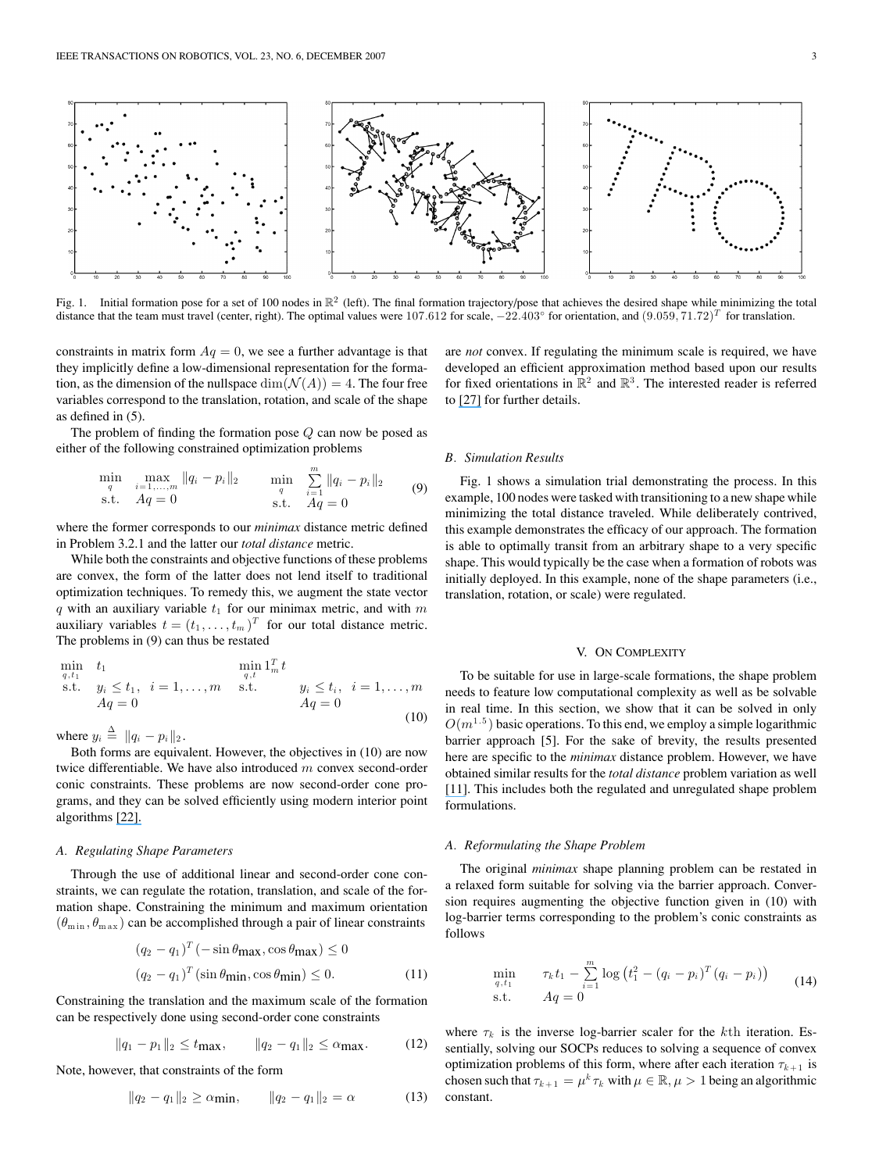

Fig. 1. Initial formation pose for a set of 100 nodes in  $\mathbb{R}^2$  (left). The final formation trajectory/pose that achieves the desired shape while minimizing the total distance that the team must travel (center, right). The optimal values were 107.612 for scale, −22.403◦ for orientation, and (9.059, 71.72)<sup>T</sup> for translation.

constraints in matrix form  $Aq = 0$ , we see a further advantage is that they implicitly define a low-dimensional representation for the formation, as the dimension of the nullspace  $dim(\mathcal{N}(A)) = 4$ . The four free variables correspond to the translation, rotation, and scale of the shape as defined in (5).

The problem of finding the formation pose  $Q$  can now be posed as either of the following constrained optimization problems

$$
\min_{q} \max_{i=1,...,m} \|q_i - p_i\|_2 \qquad \min_{q} \sum_{i=1}^{m} \|q_i - p_i\|_2
$$
\ns.t.

\n
$$
Aq = 0 \qquad \qquad \text{s.t.} \quad Aq = 0 \qquad \qquad \text{(9)}
$$

where the former corresponds to our *minimax* distance metric defined in Problem 3.2.1 and the latter our *total distance* metric.

While both the constraints and objective functions of these problems are convex, the form of the latter does not lend itself to traditional optimization techniques. To remedy this, we augment the state vector q with an auxiliary variable  $t_1$  for our minimax metric, and with m auxiliary variables  $t = (t_1, \ldots, t_m)^T$  for our total distance metric. The problems in (9) can thus be restated

$$
\min_{\substack{q, t_1 \\ \text{s.t.}}} t_1 \min_{\substack{y_i \le t_1, i = 1, ..., m \\ Aq = 0}} \frac{\min_{q, t} 1_m^T t}{\text{s.t.}} \min_{\substack{y_i \le t_i, i = 1, ..., m \\ Aq = 0}} t_1
$$
\n(10)

where  $y_i \triangleq ||q_i - p_i||_2$ .

Both forms are equivalent. However, the objectives in (10) are now twice differentiable. We have also introduced m convex second-order conic constraints. These problems are now second-order cone programs, and they can be solved efficiently using modern interior point algorithms [\[22\].](https://www.researchgate.net/publication/222480034_Applications_of_Second-Order_Cone_Programming?el=1_x_8&enrichId=rgreq-c46dbc87-750c-42bd-8b85-a3328d00305c&enrichSource=Y292ZXJQYWdlOzM0NTA1MjQ7QVM6MjE1NzU3Mzg1NDA4NTE4QDE0Mjg0NTE5Nzc5MTE=)

#### *A. Regulating Shape Parameters*

Through the use of additional linear and second-order cone constraints, we can regulate the rotation, translation, and scale of the formation shape. Constraining the minimum and maximum orientation  $(\theta_{\min}, \theta_{\max})$  can be accomplished through a pair of linear constraints

$$
(q_2 - q_1)^T \left(-\sin \theta_{\text{max}}, \cos \theta_{\text{max}}\right) \le 0
$$
  

$$
(q_2 - q_1)^T \left(\sin \theta_{\text{min}}, \cos \theta_{\text{min}}\right) \le 0.
$$
 (11)

Constraining the translation and the maximum scale of the formation can be respectively done using second-order cone constraints

$$
||q_1 - p_1||_2 \le t_{\max}, \qquad ||q_2 - q_1||_2 \le \alpha_{\max}. \tag{12}
$$

Note, however, that constraints of the form

$$
||q_2 - q_1||_2 \ge \alpha_{\min}, \qquad ||q_2 - q_1||_2 = \alpha \tag{13}
$$

are *not* convex. If regulating the minimum scale is required, we have developed an efficient approximation method based upon our results for fixed orientations in  $\mathbb{R}^2$  and  $\mathbb{R}^3$ . The interested reader is referred to [\[27\]](https://www.researchgate.net/publication/4209998_Optimal_Positioning_Strategies_for_Shape_Changes_in_Robot_Teams?el=1_x_8&enrichId=rgreq-c46dbc87-750c-42bd-8b85-a3328d00305c&enrichSource=Y292ZXJQYWdlOzM0NTA1MjQ7QVM6MjE1NzU3Mzg1NDA4NTE4QDE0Mjg0NTE5Nzc5MTE=) for further details.

## *B. Simulation Results*

Fig. 1 shows a simulation trial demonstrating the process. In this example, 100 nodes were tasked with transitioning to a new shape while minimizing the total distance traveled. While deliberately contrived, this example demonstrates the efficacy of our approach. The formation is able to optimally transit from an arbitrary shape to a very specific shape. This would typically be the case when a formation of robots was initially deployed. In this example, none of the shape parameters (i.e., translation, rotation, or scale) were regulated.

# V. ON COMPLEXITY

To be suitable for use in large-scale formations, the shape problem needs to feature low computational complexity as well as be solvable in real time. In this section, we show that it can be solved in only  $O(m^{1.5})$  basic operations. To this end, we employ a simple logarithmic barrier approach [5]. For the sake of brevity, the results presented here are specific to the *minimax* distance problem. However, we have obtained similar results for the *total distance* problem variation as well [\[11\]](https://www.researchgate.net/publication/228821721_Optimal_Shape_Changes_for_Robot_Teams?el=1_x_8&enrichId=rgreq-c46dbc87-750c-42bd-8b85-a3328d00305c&enrichSource=Y292ZXJQYWdlOzM0NTA1MjQ7QVM6MjE1NzU3Mzg1NDA4NTE4QDE0Mjg0NTE5Nzc5MTE=). This includes both the regulated and unregulated shape problem formulations.

## *A. Reformulating the Shape Problem*

The original *minimax* shape planning problem can be restated in a relaxed form suitable for solving via the barrier approach. Conversion requires augmenting the objective function given in (10) with log-barrier terms corresponding to the problem's conic constraints as follows

$$
\min_{q,t_1} \qquad \tau_k t_1 - \sum_{i=1}^m \log \left( t_1^2 - (q_i - p_i)^T (q_i - p_i) \right) \tag{14}
$$
\ns.t.

\n
$$
Aq = 0
$$

where  $\tau_k$  is the inverse log-barrier scaler for the kth iteration. Essentially, solving our SOCPs reduces to solving a sequence of convex optimization problems of this form, where after each iteration  $\tau_{k+1}$  is chosen such that  $\tau_{k+1} = \mu^k \tau_k$  with  $\mu \in \mathbb{R}, \mu > 1$  being an algorithmic constant.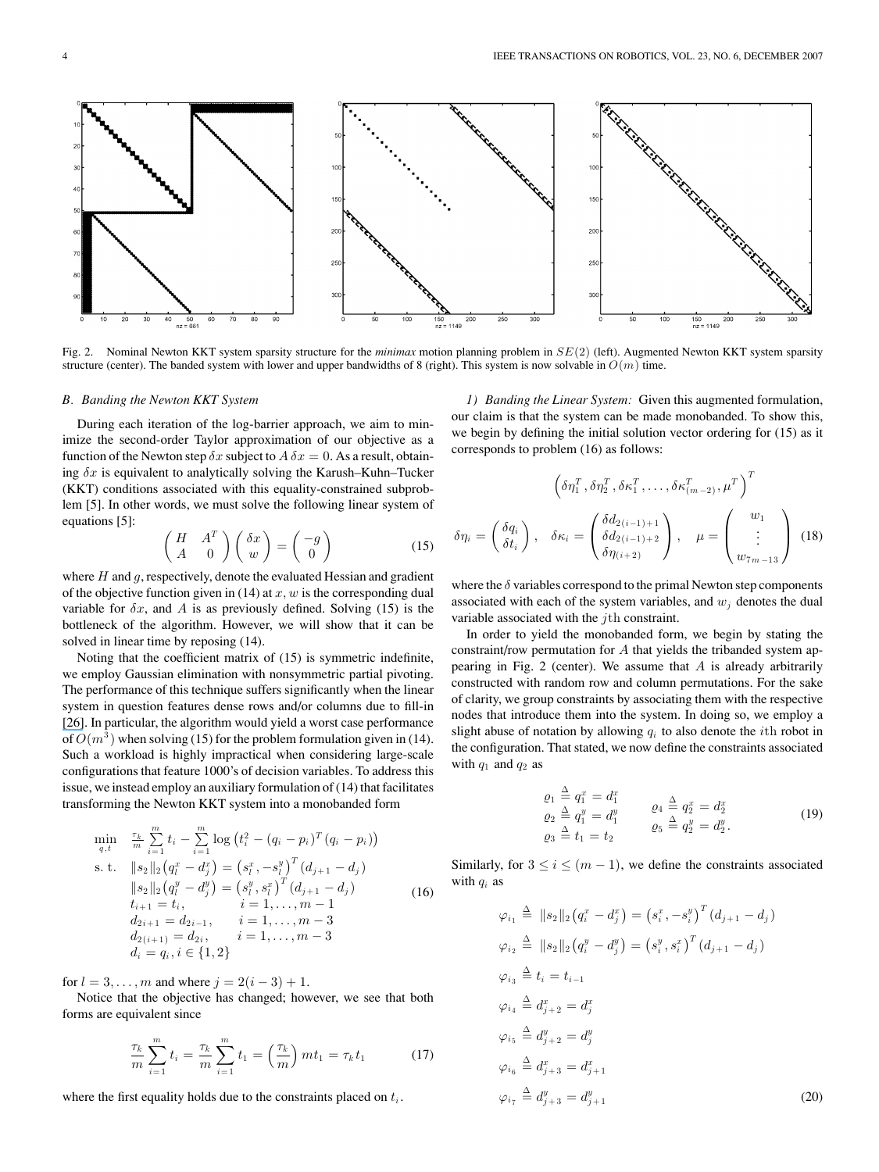

Fig. 2. Nominal Newton KKT system sparsity structure for the *minimax* motion planning problem in SE(2) (left). Augmented Newton KKT system sparsity structure (center). The banded system with lower and upper bandwidths of 8 (right). This system is now solvable in  $O(m)$  time.

#### *B. Banding the Newton KKT System*

During each iteration of the log-barrier approach, we aim to minimize the second-order Taylor approximation of our objective as a function of the Newton step  $\delta x$  subject to  $A \, \delta x = 0$ . As a result, obtaining  $\delta x$  is equivalent to analytically solving the Karush–Kuhn–Tucker (KKT) conditions associated with this equality-constrained subproblem [5]. In other words, we must solve the following linear system of equations [5]:

$$
\begin{pmatrix} H & A^T \\ A & 0 \end{pmatrix} \begin{pmatrix} \delta x \\ w \end{pmatrix} = \begin{pmatrix} -g \\ 0 \end{pmatrix}
$$
 (15)

where  $H$  and  $g$ , respectively, denote the evaluated Hessian and gradient of the objective function given in (14) at  $x, w$  is the corresponding dual variable for  $\delta x$ , and A is as previously defined. Solving (15) is the bottleneck of the algorithm. However, we will show that it can be solved in linear time by reposing (14).

Noting that the coefficient matrix of (15) is symmetric indefinite, we employ Gaussian elimination with nonsymmetric partial pivoting. The performance of this technique suffers significantly when the linear system in question features dense rows and/or columns due to fill-in [\[26\]](https://www.researchgate.net/publication/230649887_Iterative_Methods_for_Sparse_Linear_Systems?el=1_x_8&enrichId=rgreq-c46dbc87-750c-42bd-8b85-a3328d00305c&enrichSource=Y292ZXJQYWdlOzM0NTA1MjQ7QVM6MjE1NzU3Mzg1NDA4NTE4QDE0Mjg0NTE5Nzc5MTE=). In particular, the algorithm would yield a worst case performance of  $O(m^3)$  when solving (15) for the problem formulation given in (14). Such a workload is highly impractical when considering large-scale configurations that feature 1000's of decision variables. To address this issue, we instead employ an auxiliary formulation of (14) that facilitates transforming the Newton KKT system into a monobanded form

$$
\min_{q,t} \quad \frac{\tau_k}{m} \sum_{i=1}^m t_i - \sum_{i=1}^m \log \left( t_i^2 - (q_i - p_i)^T (q_i - p_i) \right)
$$
\n
$$
\text{s.t.} \quad ||s_2||_2 \left( q_i^r - d_j^x \right) = \left( s_i^r, -s_i^y \right)^T (d_{j+1} - d_j)
$$
\n
$$
||s_2||_2 \left( q_i^y - d_j^y \right) = \left( s_i^y, s_i^x \right)^T (d_{j+1} - d_j)
$$
\n
$$
t_{i+1} = t_i, \qquad i = 1, \dots, m-1
$$
\n
$$
d_{2i+1} = d_{2i-1}, \qquad i = 1, \dots, m-3
$$
\n
$$
d_2(i+1) = d_{2i}, \qquad i = 1, \dots, m-3
$$
\n
$$
d_i = q_i, i \in \{1, 2\}
$$
\n(16)

for  $l = 3, ..., m$  and where  $j = 2(i - 3) + 1$ .

Notice that the objective has changed; however, we see that both forms are equivalent since

$$
\frac{\tau_k}{m} \sum_{i=1}^m t_i = \frac{\tau_k}{m} \sum_{i=1}^m t_i = \left(\frac{\tau_k}{m}\right) m t_1 = \tau_k t_1 \tag{17}
$$

where the first equality holds due to the constraints placed on  $t_i$ .

*1) Banding the Linear System:* Given this augmented formulation, our claim is that the system can be made monobanded. To show this, we begin by defining the initial solution vector ordering for (15) as it corresponds to problem (16) as follows:

$$
\left(\delta\eta_1^T, \delta\eta_2^T, \delta\kappa_1^T, \dots, \delta\kappa_{(m-2)}^T, \mu^T\right)^T
$$

$$
\delta\eta_i = \left(\frac{\delta q_i}{\delta t_i}\right), \quad \delta\kappa_i = \left(\frac{\delta d_{2(i-1)+1}}{\delta d_{2(i-1)+2}}\right), \quad \mu = \left(\begin{array}{c} w_1 \\ \vdots \\ w_{7m-13} \end{array}\right)
$$
(18)

where the  $\delta$  variables correspond to the primal Newton step components associated with each of the system variables, and  $w_i$  denotes the dual variable associated with the j<sup>th</sup> constraint.

In order to yield the monobanded form, we begin by stating the constraint/row permutation for A that yields the tribanded system appearing in Fig. 2 (center). We assume that  $A$  is already arbitrarily constructed with random row and column permutations. For the sake of clarity, we group constraints by associating them with the respective nodes that introduce them into the system. In doing so, we employ a slight abuse of notation by allowing  $q_i$  to also denote the *i*th robot in the configuration. That stated, we now define the constraints associated with  $q_1$  and  $q_2$  as

$$
\varrho_1 \stackrel{\Delta}{=} q_1^x = d_1^x
$$
\n
$$
\varrho_2 \stackrel{\Delta}{=} q_1^y = d_1^y
$$
\n
$$
\varrho_3 \stackrel{\Delta}{=} t_1 = t_2
$$
\n
$$
\varrho_4 \stackrel{\Delta}{=} q_2^x = d_2^x
$$
\n
$$
\varrho_5 \stackrel{\Delta}{=} q_2^y = d_2^y.
$$
\n(19)

Similarly, for  $3 \le i \le (m-1)$ , we define the constraints associated with  $q_i$  as

$$
\varphi_{i_1} \triangleq ||s_2||_2 (q_i^x - d_j^x) = (s_i^x, -s_i^y)^T (d_{j+1} - d_j)
$$
  
\n
$$
\varphi_{i_2} \triangleq ||s_2||_2 (q_i^y - d_j^y) = (s_i^y, s_i^x)^T (d_{j+1} - d_j)
$$
  
\n
$$
\varphi_{i_3} \triangleq t_i = t_{i-1}
$$
  
\n
$$
\varphi_{i_4} \triangleq d_{j+2}^x = d_j^x
$$
  
\n
$$
\varphi_{i_5} \triangleq d_{j+2}^y = d_j^y
$$
  
\n
$$
\varphi_{i_6} \triangleq d_{j+3}^x = d_{j+1}^x
$$
  
\n
$$
\varphi_{i_7} \triangleq d_{j+3}^y = d_{j+1}^y
$$
\n(20)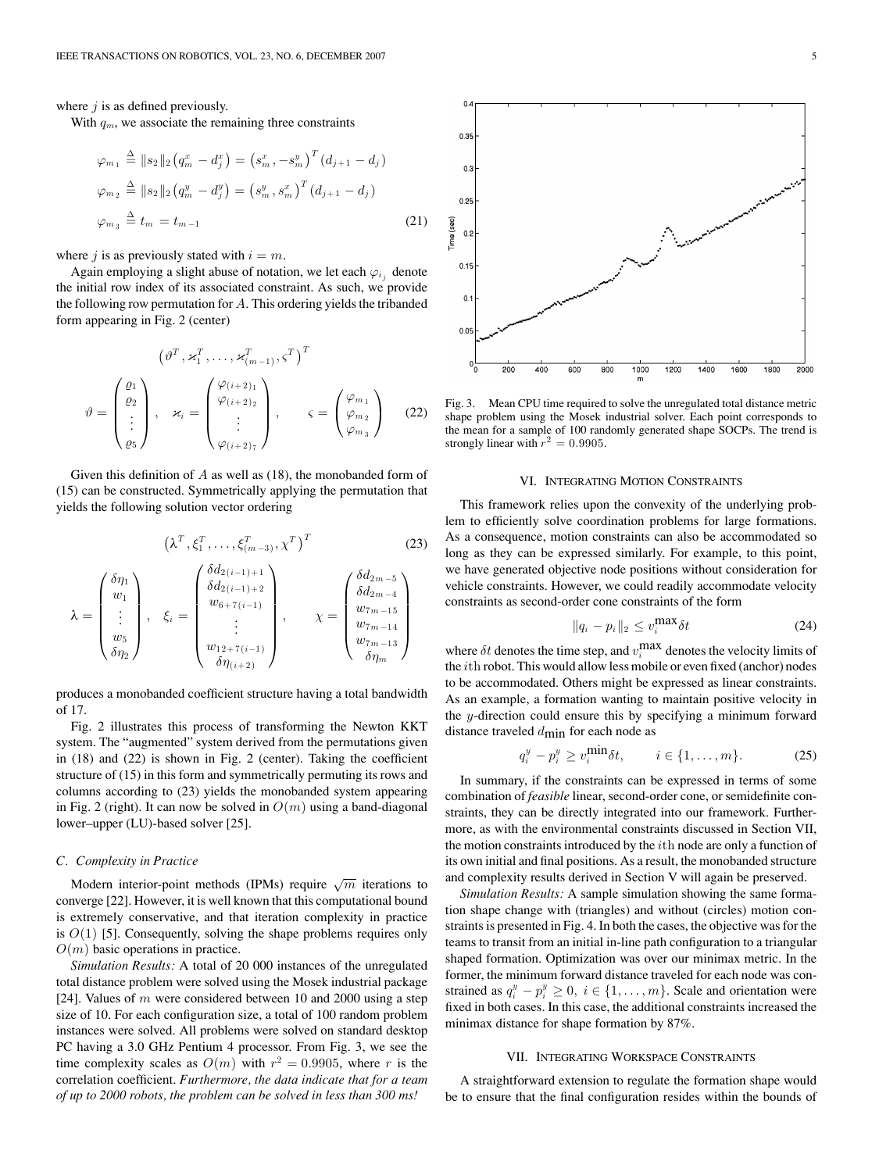where  $j$  is as defined previously.

With  $q_m$ , we associate the remaining three constraints

$$
\varphi_{m_1} \stackrel{\Delta}{=} \|s_2\|_2 (q_m^x - d_j^x) = (s_m^x, -s_m^y)^T (d_{j+1} - d_j)
$$
  
\n
$$
\varphi_{m_2} \stackrel{\Delta}{=} \|s_2\|_2 (q_m^y - d_j^y) = (s_m^y, s_m^x)^T (d_{j+1} - d_j)
$$
  
\n
$$
\varphi_{m_3} \stackrel{\Delta}{=} t_m = t_{m-1}
$$
\n(21)

where j is as previously stated with  $i = m$ .

Again employing a slight abuse of notation, we let each  $\varphi_{i}$  denote the initial row index of its associated constraint. As such, we provide the following row permutation for A. This ordering yields the tribanded form appearing in Fig. 2 (center)

$$
\vartheta = \begin{pmatrix} \vartheta^T, \varkappa_1^T, \dots, \varkappa_{(m-1)}^T, \varsigma^T \end{pmatrix}^T
$$

$$
\vartheta = \begin{pmatrix} \varrho_1 \\ \varrho_2 \\ \vdots \\ \varrho_5 \end{pmatrix}, \quad \varkappa_i = \begin{pmatrix} \varphi_{(i+2)_1} \\ \varphi_{(i+2)_2} \\ \vdots \\ \varphi_{(i+2)_7} \end{pmatrix}, \qquad \varsigma = \begin{pmatrix} \varphi_{m_1} \\ \varphi_{m_2} \\ \varphi_{m_3} \end{pmatrix}
$$
(22)

Given this definition of  $A$  as well as (18), the monobanded form of (15) can be constructed. Symmetrically applying the permutation that yields the following solution vector ordering

$$
\left(\lambda^T, \xi_1^T, \ldots, \xi_{(m-3)}^T, \chi^T\right)^T
$$
\n(23)

$$
\lambda = \begin{pmatrix} \delta \eta_1 \\ w_1 \\ \vdots \\ w_5 \\ \delta \eta_2 \end{pmatrix}, \quad \xi_i = \begin{pmatrix} \delta d_{2(i-1)+1} \\ \delta d_{2(i-1)+2} \\ w_{6+7(i-1)} \\ \vdots \\ w_{12+7(i-1)} \\ \delta \eta_{(i+2)} \end{pmatrix}, \qquad \chi = \begin{pmatrix} \delta d_{2m-5} \\ \delta d_{2m-4} \\ w_{7m-14} \\ w_{7m-13} \\ w_{7m-13} \\ \delta \eta_m \end{pmatrix}
$$

produces a monobanded coefficient structure having a total bandwidth of 17.

Fig. 2 illustrates this process of transforming the Newton KKT system. The "augmented" system derived from the permutations given in (18) and (22) is shown in Fig. 2 (center). Taking the coefficient structure of (15) in this form and symmetrically permuting its rows and columns according to (23) yields the monobanded system appearing in Fig. 2 (right). It can now be solved in  $O(m)$  using a band-diagonal lower–upper (LU)-based solver [25].

## *C. Complexity in Practice*

Modern interior-point methods (IPMs) require  $\sqrt{m}$  iterations to converge [22]. However, it is well known that this computational bound is extremely conservative, and that iteration complexity in practice is  $O(1)$  [5]. Consequently, solving the shape problems requires only  $O(m)$  basic operations in practice.

*Simulation Results:* A total of 20 000 instances of the unregulated total distance problem were solved using the Mosek industrial package [24]. Values of  $m$  were considered between 10 and 2000 using a step size of 10. For each configuration size, a total of 100 random problem instances were solved. All problems were solved on standard desktop PC having a 3.0 GHz Pentium 4 processor. From Fig. 3, we see the time complexity scales as  $O(m)$  with  $r^2 = 0.9905$ , where r is the correlation coefficient. *Furthermore, the data indicate that for a team of up to 2000 robots, the problem can be solved in less than 300 ms!*



Fig. 3. Mean CPU time required to solve the unregulated total distance metric shape problem using the Mosek industrial solver. Each point corresponds to the mean for a sample of 100 randomly generated shape SOCPs. The trend is strongly linear with  $r^2 = 0.9905$ .

#### VI. INTEGRATING MOTION CONSTRAINTS

This framework relies upon the convexity of the underlying problem to efficiently solve coordination problems for large formations. As a consequence, motion constraints can also be accommodated so long as they can be expressed similarly. For example, to this point, we have generated objective node positions without consideration for vehicle constraints. However, we could readily accommodate velocity constraints as second-order cone constraints of the form

$$
||q_i - p_i||_2 \le v_i^{\max} \delta t \tag{24}
$$

where  $\delta t$  denotes the time step, and  $v_i^{\max}$  denotes the velocity limits of the ith robot. This would allow less mobile or even fixed (anchor) nodes to be accommodated. Others might be expressed as linear constraints. As an example, a formation wanting to maintain positive velocity in the y-direction could ensure this by specifying a minimum forward distance traveled  $d_{\text{min}}$  for each node as

$$
q_i^y - p_i^y \ge v_i^{\min} \delta t, \qquad i \in \{1, \dots, m\}.
$$
 (25)

In summary, if the constraints can be expressed in terms of some combination of *feasible* linear, second-order cone, or semidefinite constraints, they can be directly integrated into our framework. Furthermore, as with the environmental constraints discussed in Section VII, the motion constraints introduced by the ith node are only a function of its own initial and final positions. As a result, the monobanded structure and complexity results derived in Section V will again be preserved.

*Simulation Results:* A sample simulation showing the same formation shape change with (triangles) and without (circles) motion constraints is presented in Fig. 4. In both the cases, the objective was for the teams to transit from an initial in-line path configuration to a triangular shaped formation. Optimization was over our minimax metric. In the former, the minimum forward distance traveled for each node was constrained as  $q_i^y - p_i^y \ge 0$ ,  $i \in \{1, ..., m\}$ . Scale and orientation were fixed in both cases. In this case, the additional constraints increased the minimax distance for shape formation by 87%.

#### VII. INTEGRATING WORKSPACE CONSTRAINTS

A straightforward extension to regulate the formation shape would be to ensure that the final configuration resides within the bounds of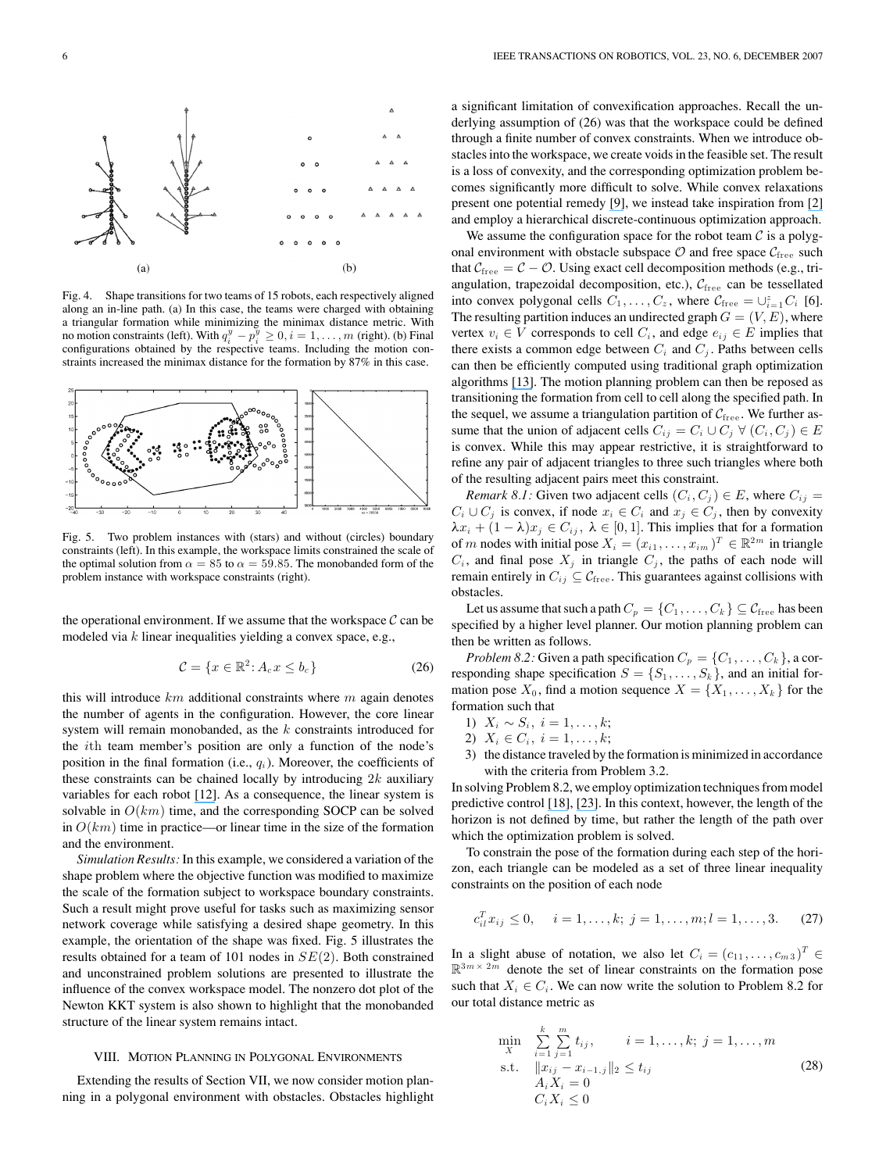

Fig. 4. Shape transitions for two teams of 15 robots, each respectively aligned along an in-line path. (a) In this case, the teams were charged with obtaining a triangular formation while minimizing the minimax distance metric. With no motion constraints (left). With  $q_i^y - p_i^y \ge 0$ ,  $i = 1, ..., m$  (right). (b) Final configurations obtained by the respective teams. Including the motion constraints increased the minimax distance for the formation by 87% in this case.



Fig. 5. Two problem instances with (stars) and without (circles) boundary constraints (left). In this example, the workspace limits constrained the scale of the optimal solution from  $\alpha = 85$  to  $\alpha = 59.85$ . The monobanded form of the problem instance with workspace constraints (right).

the operational environment. If we assume that the workspace  $\mathcal C$  can be modeled via  $k$  linear inequalities yielding a convex space, e.g.,

$$
\mathcal{C} = \{x \in \mathbb{R}^2 \colon A_c x \le b_c\} \tag{26}
$$

this will introduce  $km$  additional constraints where  $m$  again denotes the number of agents in the configuration. However, the core linear system will remain monobanded, as the k constraints introduced for the ith team member's position are only a function of the node's position in the final formation (i.e.,  $q_i$ ). Moreover, the coefficients of these constraints can be chained locally by introducing  $2k$  auxiliary variables for each robot [\[12\]](https://www.researchgate.net/publication/226810190_Second-Order_Cone_Programming_SOCP_Techniques_for_Coordinating_Large-Scale_Robot_Teams_in_Polygonal_Environments?el=1_x_8&enrichId=rgreq-c46dbc87-750c-42bd-8b85-a3328d00305c&enrichSource=Y292ZXJQYWdlOzM0NTA1MjQ7QVM6MjE1NzU3Mzg1NDA4NTE4QDE0Mjg0NTE5Nzc5MTE=). As a consequence, the linear system is solvable in  $O(km)$  time, and the corresponding SOCP can be solved in  $O(km)$  time in practice—or linear time in the size of the formation and the environment.

*Simulation Results:* In this example, we considered a variation of the shape problem where the objective function was modified to maximize the scale of the formation subject to workspace boundary constraints. Such a result might prove useful for tasks such as maximizing sensor network coverage while satisfying a desired shape geometry. In this example, the orientation of the shape was fixed. Fig. 5 illustrates the results obtained for a team of 101 nodes in  $SE(2)$ . Both constrained and unconstrained problem solutions are presented to illustrate the influence of the convex workspace model. The nonzero dot plot of the Newton KKT system is also shown to highlight that the monobanded structure of the linear system remains intact.

## VIII. MOTION PLANNING IN POLYGONAL ENVIRONMENTS

Extending the results of Section VII, we now consider motion planning in a polygonal environment with obstacles. Obstacles highlight a significant limitation of convexification approaches. Recall the underlying assumption of (26) was that the workspace could be defined through a finite number of convex constraints. When we introduce obstacles into the workspace, we create voids in the feasible set. The result is a loss of convexity, and the corresponding optimization problem becomes significantly more difficult to solve. While convex relaxations present one potential remedy [\[9\]](https://www.researchgate.net/publication/251842221_Relaxations_and_Randomized_Methods_for_Nonconvex_QCQPs?el=1_x_8&enrichId=rgreq-c46dbc87-750c-42bd-8b85-a3328d00305c&enrichSource=Y292ZXJQYWdlOzM0NTA1MjQ7QVM6MjE1NzU3Mzg1NDA4NTE4QDE0Mjg0NTE5Nzc5MTE=), we instead take inspiration from [\[2\]](https://www.researchgate.net/publication/3450212_Discrete_abstractions_for_robot_motion_planning_and_control_in_polygonal_environments?el=1_x_8&enrichId=rgreq-c46dbc87-750c-42bd-8b85-a3328d00305c&enrichSource=Y292ZXJQYWdlOzM0NTA1MjQ7QVM6MjE1NzU3Mzg1NDA4NTE4QDE0Mjg0NTE5Nzc5MTE=) and employ a hierarchical discrete-continuous optimization approach.

We assume the configuration space for the robot team  $C$  is a polygonal environment with obstacle subspace  $\mathcal{O}$  and free space  $\mathcal{C}_{\text{free}}$  such that  $C_{\text{free}} = C - \mathcal{O}$ . Using exact cell decomposition methods (e.g., triangulation, trapezoidal decomposition, etc.),  $C_{\text{free}}$  can be tessellated into convex polygonal cells  $C_1, \ldots, C_z$ , where  $C_{\text{free}} = \bigcup_{i=1}^{z} C_i$  [6]. The resulting partition induces an undirected graph  $G = (V, E)$ , where vertex  $v_i \in V$  corresponds to cell  $C_i$ , and edge  $e_{ij} \in E$  implies that there exists a common edge between  $C_i$  and  $C_j$ . Paths between cells can then be efficiently computed using traditional graph optimization algorithms [\[13\]](https://www.researchgate.net/publication/242562037_A_Note_on_Two_Problems_in_Connexion_with_Graphs?el=1_x_8&enrichId=rgreq-c46dbc87-750c-42bd-8b85-a3328d00305c&enrichSource=Y292ZXJQYWdlOzM0NTA1MjQ7QVM6MjE1NzU3Mzg1NDA4NTE4QDE0Mjg0NTE5Nzc5MTE=). The motion planning problem can then be reposed as transitioning the formation from cell to cell along the specified path. In the sequel, we assume a triangulation partition of  $C_{\text{free}}$ . We further assume that the union of adjacent cells  $C_{ij} = C_i \cup C_j \ \forall \ (C_i, C_j) \in E$ is convex. While this may appear restrictive, it is straightforward to refine any pair of adjacent triangles to three such triangles where both of the resulting adjacent pairs meet this constraint.

*Remark 8.1:* Given two adjacent cells  $(C_i, C_j) \in E$ , where  $C_{ij} =$  $C_i \cup C_j$  is convex, if node  $x_i \in C_i$  and  $x_j \in C_j$ , then by convexity  $\lambda x_i + (1 - \lambda)x_j \in C_{ij}, \lambda \in [0, 1].$  This implies that for a formation of m nodes with initial pose  $X_i = (x_{i1}, \ldots, x_{im})^T \in \mathbb{R}^{2m}$  in triangle  $C_i$ , and final pose  $X_j$  in triangle  $C_j$ , the paths of each node will remain entirely in  $C_{ij} \subseteq C_{\text{free}}$ . This guarantees against collisions with obstacles.

Let us assume that such a path  $C_p = \{C_1, \ldots, C_k\} \subseteq \mathcal{C}_{\text{free}}$  has been specified by a higher level planner. Our motion planning problem can then be written as follows.

*Problem 8.2:* Given a path specification  $C_p = \{C_1, \ldots, C_k\}$ , a corresponding shape specification  $S = \{S_1, \ldots, S_k\}$ , and an initial formation pose  $X_0$ , find a motion sequence  $X = \{X_1, \ldots, X_k\}$  for the formation such that

- 1)  $X_i \sim S_i, i = 1, \ldots, k;$
- 2)  $X_i \in C_i$ ,  $i = 1, \ldots, k$ ;
- 3) the distance traveled by the formation is minimized in accordance with the criteria from Problem 3.2.

In solving Problem 8.2, we employ optimization techniques from model predictive control [\[18\]](https://www.researchgate.net/publication/3024047_Unconstrained_Receding_Horizon_Control_of_Nonlinear_Systems?el=1_x_8&enrichId=rgreq-c46dbc87-750c-42bd-8b85-a3328d00305c&enrichSource=Y292ZXJQYWdlOzM0NTA1MjQ7QVM6MjE1NzU3Mzg1NDA4NTE4QDE0Mjg0NTE5Nzc5MTE=), [\[23\]](https://www.researchgate.net/publication/220159558_Constrained_Model_Predictive_Control_Stability_and_Optimality?el=1_x_8&enrichId=rgreq-c46dbc87-750c-42bd-8b85-a3328d00305c&enrichSource=Y292ZXJQYWdlOzM0NTA1MjQ7QVM6MjE1NzU3Mzg1NDA4NTE4QDE0Mjg0NTE5Nzc5MTE=). In this context, however, the length of the horizon is not defined by time, but rather the length of the path over which the optimization problem is solved.

To constrain the pose of the formation during each step of the horizon, each triangle can be modeled as a set of three linear inequality constraints on the position of each node

$$
c_{ii}^T x_{ij} \le 0, \quad i = 1, \dots, k; \ j = 1, \dots, m; l = 1, \dots, 3. \tag{27}
$$

In a slight abuse of notation, we also let  $C_i = (c_{11}, \ldots, c_{m3})^T \in$  $\mathbb{R}^{3m \times 2m}$  denote the set of linear constraints on the formation pose such that  $X_i \in C_i$ . We can now write the solution to Problem 8.2 for our total distance metric as

min X k i= 1 m j = 1 tij , i = 1,...,k; j = 1,...,m s.t. xij − xi−1,j <sup>2</sup> ≤ tij AiXi = 0 CiXi ≤ 0 (28)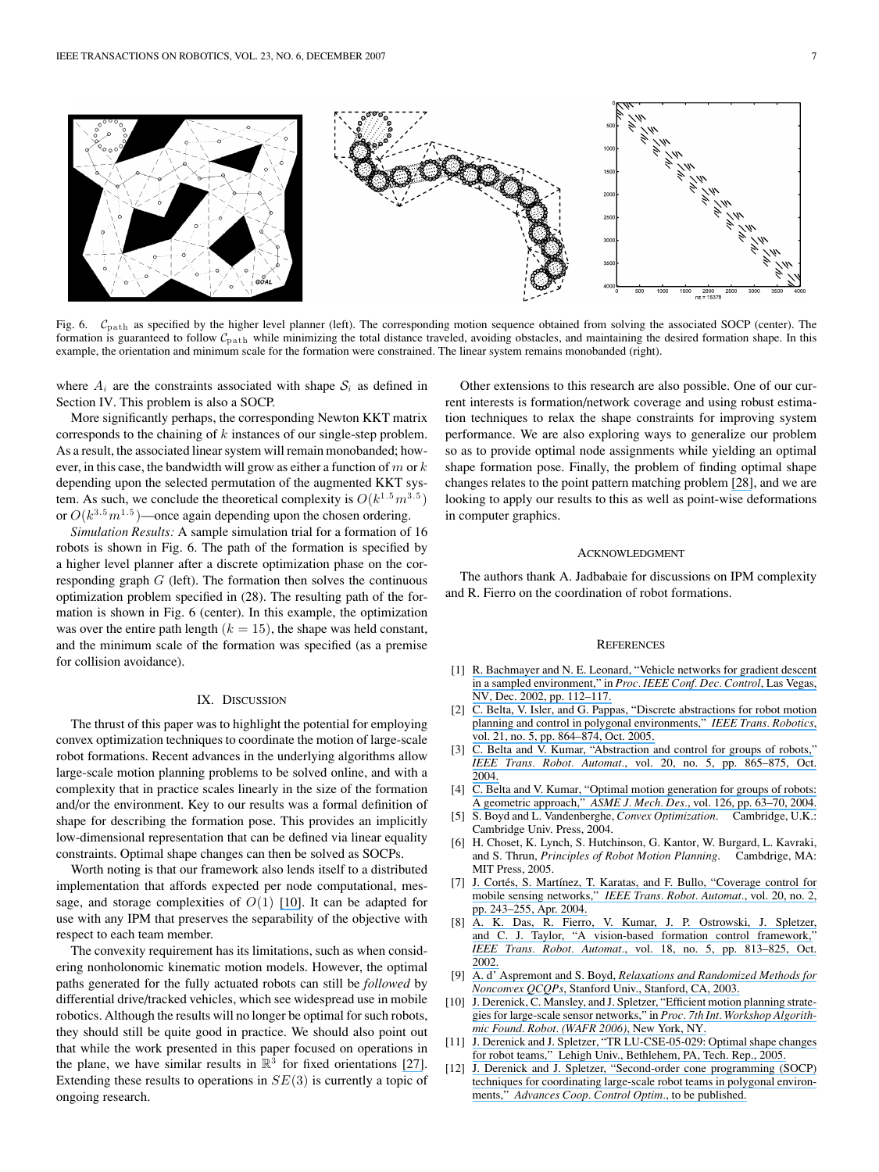

Fig. 6.  $C_{\text{path}}$  as specified by the higher level planner (left). The corresponding motion sequence obtained from solving the associated SOCP (center). The formation is guaranteed to follow  $C_{\text{path}}$  while minimizing the total distance traveled, avoiding obstacles, and maintaining the desired formation shape. In this example, the orientation and minimum scale for the formation were constrained. The linear system remains monobanded (right).

where  $A_i$  are the constraints associated with shape  $S_i$  as defined in Section IV. This problem is also a SOCP.

More significantly perhaps, the corresponding Newton KKT matrix corresponds to the chaining of k instances of our single-step problem. As a result, the associated linear system will remain monobanded; however, in this case, the bandwidth will grow as either a function of  $m$  or  $k$ depending upon the selected permutation of the augmented KKT system. As such, we conclude the theoretical complexity is  $O(k^{1.5}m^{3.5})$ or  $O(k^{3.5}m^{1.5})$ —once again depending upon the chosen ordering.

*Simulation Results:* A sample simulation trial for a formation of 16 robots is shown in Fig. 6. The path of the formation is specified by a higher level planner after a discrete optimization phase on the corresponding graph  $G$  (left). The formation then solves the continuous optimization problem specified in (28). The resulting path of the formation is shown in Fig. 6 (center). In this example, the optimization was over the entire path length  $(k = 15)$ , the shape was held constant, and the minimum scale of the formation was specified (as a premise for collision avoidance).

## IX. DISCUSSION

The thrust of this paper was to highlight the potential for employing convex optimization techniques to coordinate the motion of large-scale robot formations. Recent advances in the underlying algorithms allow large-scale motion planning problems to be solved online, and with a complexity that in practice scales linearly in the size of the formation and/or the environment. Key to our results was a formal definition of shape for describing the formation pose. This provides an implicitly low-dimensional representation that can be defined via linear equality constraints. Optimal shape changes can then be solved as SOCPs.

Worth noting is that our framework also lends itself to a distributed implementation that affords expected per node computational, message, and storage complexities of  $O(1)$  [\[10\]](https://www.researchgate.net/publication/220946743_Efficient_Motion_Planning_Strategies_for_Large-Scale_Sensor_Networks?el=1_x_8&enrichId=rgreq-c46dbc87-750c-42bd-8b85-a3328d00305c&enrichSource=Y292ZXJQYWdlOzM0NTA1MjQ7QVM6MjE1NzU3Mzg1NDA4NTE4QDE0Mjg0NTE5Nzc5MTE=). It can be adapted for use with any IPM that preserves the separability of the objective with respect to each team member.

The convexity requirement has its limitations, such as when considering nonholonomic kinematic motion models. However, the optimal paths generated for the fully actuated robots can still be *followed* by differential drive/tracked vehicles, which see widespread use in mobile robotics. Although the results will no longer be optimal for such robots, they should still be quite good in practice. We should also point out that while the work presented in this paper focused on operations in the plane, we have similar results in  $\mathbb{R}^3$  for fixed orientations [\[27\]](https://www.researchgate.net/publication/4209998_Optimal_Positioning_Strategies_for_Shape_Changes_in_Robot_Teams?el=1_x_8&enrichId=rgreq-c46dbc87-750c-42bd-8b85-a3328d00305c&enrichSource=Y292ZXJQYWdlOzM0NTA1MjQ7QVM6MjE1NzU3Mzg1NDA4NTE4QDE0Mjg0NTE5Nzc5MTE=). Extending these results to operations in  $SE(3)$  is currently a topic of ongoing research.

Other extensions to this research are also possible. One of our current interests is formation/network coverage and using robust estimation techniques to relax the shape constraints for improving system performance. We are also exploring ways to generalize our problem so as to provide optimal node assignments while yielding an optimal shape formation pose. Finally, the problem of finding optimal shape changes relates to the point pattern matching problem [\[28\]](https://www.researchgate.net/publication/2242601_A_Fast_Algorithm_For_The_Point_Pattern_Matching_Problem?el=1_x_8&enrichId=rgreq-c46dbc87-750c-42bd-8b85-a3328d00305c&enrichSource=Y292ZXJQYWdlOzM0NTA1MjQ7QVM6MjE1NzU3Mzg1NDA4NTE4QDE0Mjg0NTE5Nzc5MTE=), and we are looking to apply our results to this as well as point-wise deformations in computer graphics.

#### ACKNOWLEDGMENT

The authors thank A. Jadbabaie for discussions on IPM complexity and R. Fierro on the coordination of robot formations.

#### **REFERENCES**

- [1] [R. Bachmayer and N. E. Leonard, "Vehicle networks for gradient descent](https://www.researchgate.net/publication/4006292_Vehicle_networks_for_gradient_descent_in_a_sampled_environment?el=1_x_8&enrichId=rgreq-c46dbc87-750c-42bd-8b85-a3328d00305c&enrichSource=Y292ZXJQYWdlOzM0NTA1MjQ7QVM6MjE1NzU3Mzg1NDA4NTE4QDE0Mjg0NTE5Nzc5MTE=) in a sampled environment," in *[Proc. IEEE Conf. Dec. Control](https://www.researchgate.net/publication/4006292_Vehicle_networks_for_gradient_descent_in_a_sampled_environment?el=1_x_8&enrichId=rgreq-c46dbc87-750c-42bd-8b85-a3328d00305c&enrichSource=Y292ZXJQYWdlOzM0NTA1MjQ7QVM6MjE1NzU3Mzg1NDA4NTE4QDE0Mjg0NTE5Nzc5MTE=)*, Las Vegas, [NV, Dec. 2002, pp. 112–117.](https://www.researchgate.net/publication/4006292_Vehicle_networks_for_gradient_descent_in_a_sampled_environment?el=1_x_8&enrichId=rgreq-c46dbc87-750c-42bd-8b85-a3328d00305c&enrichSource=Y292ZXJQYWdlOzM0NTA1MjQ7QVM6MjE1NzU3Mzg1NDA4NTE4QDE0Mjg0NTE5Nzc5MTE=)
- [2] [C. Belta, V. Isler, and G. Pappas, "Discrete abstractions for robot motion](https://www.researchgate.net/publication/3450212_Discrete_abstractions_for_robot_motion_planning_and_control_in_polygonal_environments?el=1_x_8&enrichId=rgreq-c46dbc87-750c-42bd-8b85-a3328d00305c&enrichSource=Y292ZXJQYWdlOzM0NTA1MjQ7QVM6MjE1NzU3Mzg1NDA4NTE4QDE0Mjg0NTE5Nzc5MTE=) [planning and control in polygonal environments,"](https://www.researchgate.net/publication/3450212_Discrete_abstractions_for_robot_motion_planning_and_control_in_polygonal_environments?el=1_x_8&enrichId=rgreq-c46dbc87-750c-42bd-8b85-a3328d00305c&enrichSource=Y292ZXJQYWdlOzM0NTA1MjQ7QVM6MjE1NzU3Mzg1NDA4NTE4QDE0Mjg0NTE5Nzc5MTE=) *IEEE Trans. Robotics*, [vol. 21, no. 5, pp. 864–874, Oct. 2005.](https://www.researchgate.net/publication/3450212_Discrete_abstractions_for_robot_motion_planning_and_control_in_polygonal_environments?el=1_x_8&enrichId=rgreq-c46dbc87-750c-42bd-8b85-a3328d00305c&enrichSource=Y292ZXJQYWdlOzM0NTA1MjQ7QVM6MjE1NzU3Mzg1NDA4NTE4QDE0Mjg0NTE5Nzc5MTE=)
- [3] [C. Belta and V. Kumar, "Abstraction and control for groups of robots,"](https://www.researchgate.net/publication/2835754_Abstraction_and_Control_for_Groups?el=1_x_8&enrichId=rgreq-c46dbc87-750c-42bd-8b85-a3328d00305c&enrichSource=Y292ZXJQYWdlOzM0NTA1MjQ7QVM6MjE1NzU3Mzg1NDA4NTE4QDE0Mjg0NTE5Nzc5MTE=) *IEEE Trans. Robot. Automat.*[, vol. 20, no. 5, pp. 865–875, Oct.](https://www.researchgate.net/publication/2835754_Abstraction_and_Control_for_Groups?el=1_x_8&enrichId=rgreq-c46dbc87-750c-42bd-8b85-a3328d00305c&enrichSource=Y292ZXJQYWdlOzM0NTA1MjQ7QVM6MjE1NzU3Mzg1NDA4NTE4QDE0Mjg0NTE5Nzc5MTE=) [2004.](https://www.researchgate.net/publication/2835754_Abstraction_and_Control_for_Groups?el=1_x_8&enrichId=rgreq-c46dbc87-750c-42bd-8b85-a3328d00305c&enrichSource=Y292ZXJQYWdlOzM0NTA1MjQ7QVM6MjE1NzU3Mzg1NDA4NTE4QDE0Mjg0NTE5Nzc5MTE=)
- [4] [C. Belta and V. Kumar, "Optimal motion generation for groups of robots:](https://www.researchgate.net/publication/228769059_Optimal_Motion_Generation_for_Groups_of_Robots_A_Geometric_Approach?el=1_x_8&enrichId=rgreq-c46dbc87-750c-42bd-8b85-a3328d00305c&enrichSource=Y292ZXJQYWdlOzM0NTA1MjQ7QVM6MjE1NzU3Mzg1NDA4NTE4QDE0Mjg0NTE5Nzc5MTE=) A geometric approach," *ASME J. Mech. Des.*[, vol. 126, pp. 63–70, 2004.](https://www.researchgate.net/publication/228769059_Optimal_Motion_Generation_for_Groups_of_Robots_A_Geometric_Approach?el=1_x_8&enrichId=rgreq-c46dbc87-750c-42bd-8b85-a3328d00305c&enrichSource=Y292ZXJQYWdlOzM0NTA1MjQ7QVM6MjE1NzU3Mzg1NDA4NTE4QDE0Mjg0NTE5Nzc5MTE=)
- [5] S. Boyd and L. Vandenberghe, *Convex Optimization*. Cambridge, U.K.: Cambridge Univ. Press, 2004.
- [6] H. Choset, K. Lynch, S. Hutchinson, G. Kantor, W. Burgard, L. Kavraki, and S. Thrun, *Principles of Robot Motion Planning*. Cambdrige, MA: MIT Press, 2005.
- [7] J. Cortés, S. Martínez, T. Karatas, and F. Bullo, "Coverage control for mobile sensing networks," *[IEEE Trans. Robot. Automat.](https://www.researchgate.net/publication/221071828_Coverage_Control_for_Mobile_Sensing_Networks?el=1_x_8&enrichId=rgreq-c46dbc87-750c-42bd-8b85-a3328d00305c&enrichSource=Y292ZXJQYWdlOzM0NTA1MjQ7QVM6MjE1NzU3Mzg1NDA4NTE4QDE0Mjg0NTE5Nzc5MTE=)*, vol. 20, no. 2, [pp. 243–255, Apr. 2004.](https://www.researchgate.net/publication/221071828_Coverage_Control_for_Mobile_Sensing_Networks?el=1_x_8&enrichId=rgreq-c46dbc87-750c-42bd-8b85-a3328d00305c&enrichSource=Y292ZXJQYWdlOzM0NTA1MjQ7QVM6MjE1NzU3Mzg1NDA4NTE4QDE0Mjg0NTE5Nzc5MTE=)
- [8] [A. K. Das, R. Fierro, V. Kumar, J. P. Ostrowski, J. Spletzer,](https://www.researchgate.net/publication/46176366_A_Vision-Based_Formation_Control_Framework?el=1_x_8&enrichId=rgreq-c46dbc87-750c-42bd-8b85-a3328d00305c&enrichSource=Y292ZXJQYWdlOzM0NTA1MjQ7QVM6MjE1NzU3Mzg1NDA4NTE4QDE0Mjg0NTE5Nzc5MTE=) [and C. J. Taylor, "A vision-based formation control framework,"](https://www.researchgate.net/publication/46176366_A_Vision-Based_Formation_Control_Framework?el=1_x_8&enrichId=rgreq-c46dbc87-750c-42bd-8b85-a3328d00305c&enrichSource=Y292ZXJQYWdlOzM0NTA1MjQ7QVM6MjE1NzU3Mzg1NDA4NTE4QDE0Mjg0NTE5Nzc5MTE=) *IEEE Trans. Robot. Automat.*[, vol. 18, no. 5, pp. 813–825, Oct.](https://www.researchgate.net/publication/46176366_A_Vision-Based_Formation_Control_Framework?el=1_x_8&enrichId=rgreq-c46dbc87-750c-42bd-8b85-a3328d00305c&enrichSource=Y292ZXJQYWdlOzM0NTA1MjQ7QVM6MjE1NzU3Mzg1NDA4NTE4QDE0Mjg0NTE5Nzc5MTE=) [2002.](https://www.researchgate.net/publication/46176366_A_Vision-Based_Formation_Control_Framework?el=1_x_8&enrichId=rgreq-c46dbc87-750c-42bd-8b85-a3328d00305c&enrichSource=Y292ZXJQYWdlOzM0NTA1MjQ7QVM6MjE1NzU3Mzg1NDA4NTE4QDE0Mjg0NTE5Nzc5MTE=)
- [9] A. d' Aspremont and S. Boyd, *[Relaxations and Randomized Methods for](https://www.researchgate.net/publication/251842221_Relaxations_and_Randomized_Methods_for_Nonconvex_QCQPs?el=1_x_8&enrichId=rgreq-c46dbc87-750c-42bd-8b85-a3328d00305c&enrichSource=Y292ZXJQYWdlOzM0NTA1MjQ7QVM6MjE1NzU3Mzg1NDA4NTE4QDE0Mjg0NTE5Nzc5MTE=) Nonconvex QCQPs*[, Stanford Univ., Stanford, CA, 2003.](https://www.researchgate.net/publication/251842221_Relaxations_and_Randomized_Methods_for_Nonconvex_QCQPs?el=1_x_8&enrichId=rgreq-c46dbc87-750c-42bd-8b85-a3328d00305c&enrichSource=Y292ZXJQYWdlOzM0NTA1MjQ7QVM6MjE1NzU3Mzg1NDA4NTE4QDE0Mjg0NTE5Nzc5MTE=)
- [10] [J. Derenick, C. Mansley, and J. Spletzer, "Efficient motion planning strate](https://www.researchgate.net/publication/220946743_Efficient_Motion_Planning_Strategies_for_Large-Scale_Sensor_Networks?el=1_x_8&enrichId=rgreq-c46dbc87-750c-42bd-8b85-a3328d00305c&enrichSource=Y292ZXJQYWdlOzM0NTA1MjQ7QVM6MjE1NzU3Mzg1NDA4NTE4QDE0Mjg0NTE5Nzc5MTE=)[gies for large-scale sensor networks," in](https://www.researchgate.net/publication/220946743_Efficient_Motion_Planning_Strategies_for_Large-Scale_Sensor_Networks?el=1_x_8&enrichId=rgreq-c46dbc87-750c-42bd-8b85-a3328d00305c&enrichSource=Y292ZXJQYWdlOzM0NTA1MjQ7QVM6MjE1NzU3Mzg1NDA4NTE4QDE0Mjg0NTE5Nzc5MTE=) *Proc. 7th Int. Workshop Algorith[mic Found. Robot. \(WAFR 2006\)](https://www.researchgate.net/publication/220946743_Efficient_Motion_Planning_Strategies_for_Large-Scale_Sensor_Networks?el=1_x_8&enrichId=rgreq-c46dbc87-750c-42bd-8b85-a3328d00305c&enrichSource=Y292ZXJQYWdlOzM0NTA1MjQ7QVM6MjE1NzU3Mzg1NDA4NTE4QDE0Mjg0NTE5Nzc5MTE=)*, New York, NY.
- [11] [J. Derenick and J. Spletzer, "TR LU-CSE-05-029: Optimal shape changes](https://www.researchgate.net/publication/228821721_Optimal_Shape_Changes_for_Robot_Teams?el=1_x_8&enrichId=rgreq-c46dbc87-750c-42bd-8b85-a3328d00305c&enrichSource=Y292ZXJQYWdlOzM0NTA1MjQ7QVM6MjE1NzU3Mzg1NDA4NTE4QDE0Mjg0NTE5Nzc5MTE=) [for robot teams," Lehigh Univ., Bethlehem, PA, Tech. Rep., 2005.](https://www.researchgate.net/publication/228821721_Optimal_Shape_Changes_for_Robot_Teams?el=1_x_8&enrichId=rgreq-c46dbc87-750c-42bd-8b85-a3328d00305c&enrichSource=Y292ZXJQYWdlOzM0NTA1MjQ7QVM6MjE1NzU3Mzg1NDA4NTE4QDE0Mjg0NTE5Nzc5MTE=)
- [12] [J. Derenick and J. Spletzer, "Second-order cone programming \(SOCP\)](https://www.researchgate.net/publication/226810190_Second-Order_Cone_Programming_SOCP_Techniques_for_Coordinating_Large-Scale_Robot_Teams_in_Polygonal_Environments?el=1_x_8&enrichId=rgreq-c46dbc87-750c-42bd-8b85-a3328d00305c&enrichSource=Y292ZXJQYWdlOzM0NTA1MjQ7QVM6MjE1NzU3Mzg1NDA4NTE4QDE0Mjg0NTE5Nzc5MTE=) [techniques for coordinating large-scale robot teams in polygonal environ](https://www.researchgate.net/publication/226810190_Second-Order_Cone_Programming_SOCP_Techniques_for_Coordinating_Large-Scale_Robot_Teams_in_Polygonal_Environments?el=1_x_8&enrichId=rgreq-c46dbc87-750c-42bd-8b85-a3328d00305c&enrichSource=Y292ZXJQYWdlOzM0NTA1MjQ7QVM6MjE1NzU3Mzg1NDA4NTE4QDE0Mjg0NTE5Nzc5MTE=)ments," *[Advances Coop. Control Optim.](https://www.researchgate.net/publication/226810190_Second-Order_Cone_Programming_SOCP_Techniques_for_Coordinating_Large-Scale_Robot_Teams_in_Polygonal_Environments?el=1_x_8&enrichId=rgreq-c46dbc87-750c-42bd-8b85-a3328d00305c&enrichSource=Y292ZXJQYWdlOzM0NTA1MjQ7QVM6MjE1NzU3Mzg1NDA4NTE4QDE0Mjg0NTE5Nzc5MTE=)*, to be published.